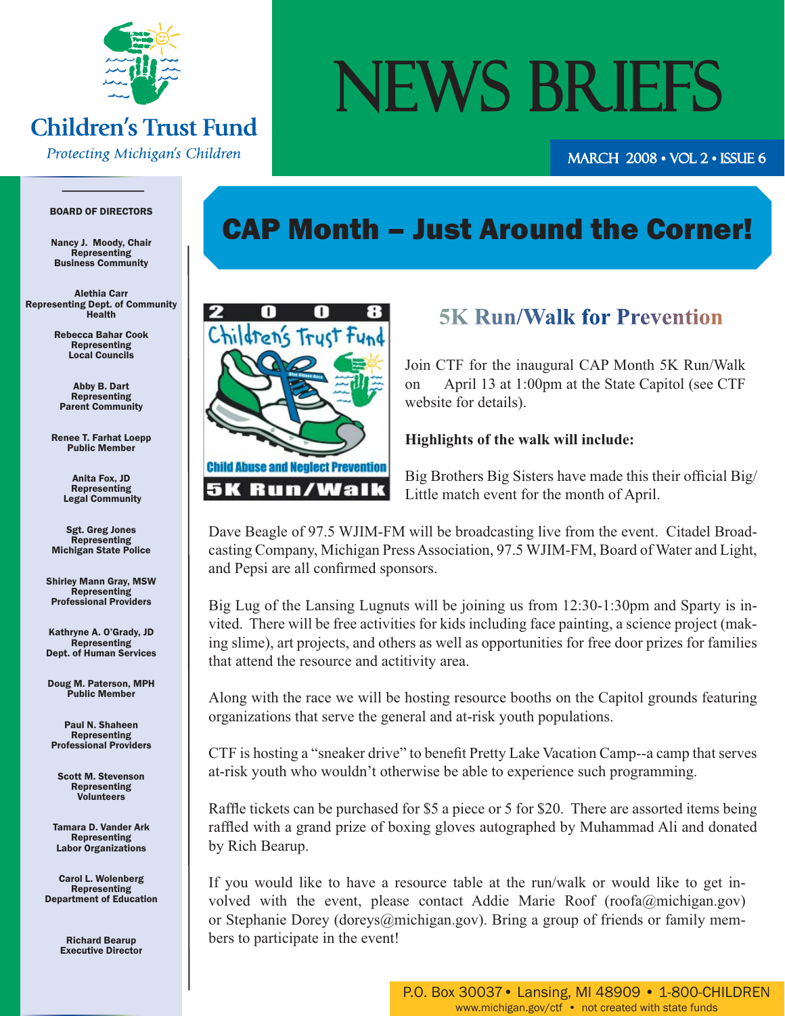

## **Children's Trust Fund**

**Protecting Michigan's Children** 

# NEWS BRIEFS

march 2008 • Vol 2 • Issue 6 008

#### BOARD OF DIRECTORS

Nancy J. Moody, Chair Representing Business Community

Alethia Carr Representing Dept. of Community Health

> Rebecca Bahar Cook Representing Local Councils

Abby B. Dart Representing Parent Community

Renee T. Farhat Loepp Public Member

> Anita Fox, JD Representing Legal Community

Sgt. Greg Jones **Representing** Michigan State Police

Shirley Mann Gray, MSW **Representing** Professional Providers

Kathryne A. O'Grady, JD Representing Dept. of Human Services

Doug M. Paterson, MPH Public Member

Paul N. Shaheen Representing Professional Providers

Scott M. Stevenson Representing Volunteers

Tamara D. Vander Ark **Representing** Labor Organizations

Carol L. Wolenberg Representing Department of Education

> Richard Bearup Executive Director

## CAP Month – Just Around the Corner!



### **5K Run/Walk for Prevention**

Join CTF for the inaugural CAP Month 5K Run/Walk on April 13 at 1:00pm at the State Capitol (see CTF website for details).

#### **Highlights of the walk will include:**

Big Brothers Big Sisters have made this their official Big/ Little match event for the month of April.

Dave Beagle of 97.5 WJIM-FM will be broadcasting live from the event. Citadel Broadcasting Company, Michigan Press Association, 97.5 WJIM-FM, Board of Water and Light, and Pepsi are all confirmed sponsors.

Big Lug of the Lansing Lugnuts will be joining us from 12:30-1:30pm and Sparty is invited. There will be free activities for kids including face painting, a science project (making slime), art projects, and others as well as opportunities for free door prizes for families that attend the resource and actitivity area.

Along with the race we will be hosting resource booths on the Capitol grounds featuring organizations that serve the general and at-risk youth populations.

CTF is hosting a "sneaker drive" to benefi t Pretty Lake Vacation Camp--a camp that serves at-risk youth who wouldn't otherwise be able to experience such programming.

Raffle tickets can be purchased for \$5 a piece or 5 for \$20. There are assorted items being raffled with a grand prize of boxing gloves autographed by Muhammad Ali and donated by Rich Bearup.

If you would like to have a resource table at the run/walk or would like to get involved with the event, please contact Addie Marie Roof (roofa@michigan.gov) or Stephanie Dorey (doreys@michigan.gov). Bring a group of friends or family members to participate in the event!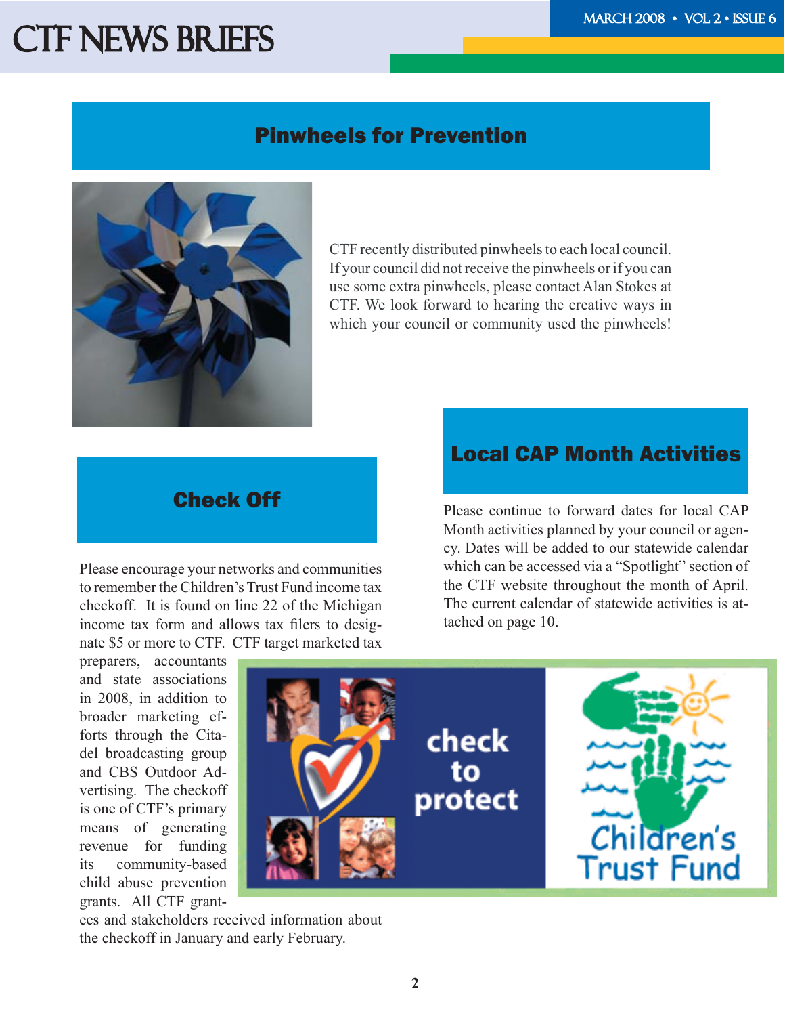### Pinwheels for Prevention



CTF recently distributed pinwheels to each local council. If your council did not receive the pinwheels or if you can use some extra pinwheels, please contact Alan Stokes at CTF. We look forward to hearing the creative ways in which your council or community used the pinwheels!

Please encourage your networks and communities to remember the Children's Trust Fund income tax checkoff. It is found on line 22 of the Michigan income tax form and allows tax filers to designate \$5 or more to CTF. CTF target marketed tax

preparers, accountants and state associations in 2008, in addition to broader marketing efforts through the Citadel broadcasting group and CBS Outdoor Advertising. The checkoff is one of CTF's primary means of generating revenue for funding its community-based child abuse prevention grants. All CTF grant-

ees and stakeholders received information about the checkoff in January and early February.

### Local CAP Month Activities

**Check Off** Please continue to forward dates for local CAP Month activities planned by your council or agency. Dates will be added to our statewide calendar which can be accessed via a "Spotlight" section of the CTF website throughout the month of April. The current calendar of statewide activities is attached on page 10.

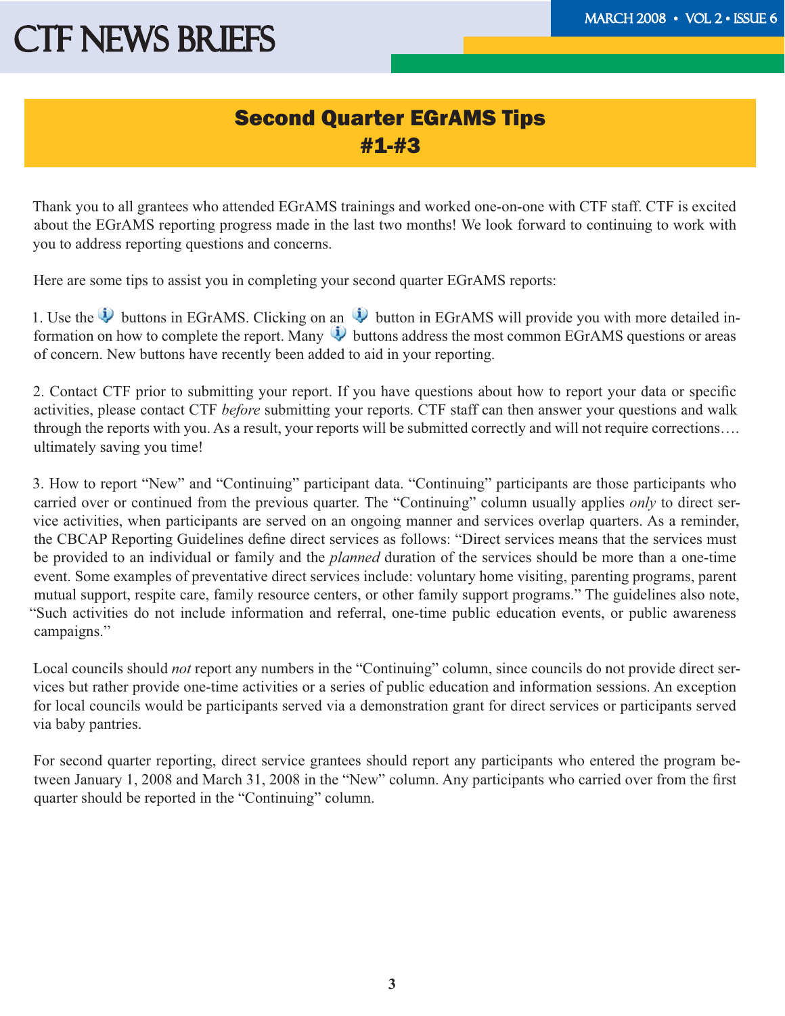### Second Quarter EGrAMS Tips #1-#3

Thank you to all grantees who attended EGrAMS trainings and worked one-on-one with CTF staff. CTF is excited about the EGrAMS reporting progress made in the last two months! We look forward to continuing to work with you to address reporting questions and concerns.

Here are some tips to assist you in completing your second quarter EGrAMS reports:

1. Use the  $\bigcup$  buttons in EGrAMS. Clicking on an  $\bigcup$  button in EGrAMS will provide you with more detailed information on how to complete the report. Many  $\ddot{\psi}$  buttons address the most common EGrAMS questions or areas of concern. New buttons have recently been added to aid in your reporting.

2. Contact CTF prior to submitting your report. If you have questions about how to report your data or specific activities, please contact CTF *before* submitting your reports. CTF staff can then answer your questions and walk through the reports with you. As a result, your reports will be submitted correctly and will not require corrections…. ultimately saving you time!

3. How to report "New" and "Continuing" participant data. "Continuing" participants are those participants who carried over or continued from the previous quarter. The "Continuing" column usually applies *only* to direct service activities, when participants are served on an ongoing manner and services overlap quarters. As a reminder, the CBCAP Reporting Guidelines define direct services as follows: "Direct services means that the services must be provided to an individual or family and the *planned* duration of the services should be more than a one-time event. Some examples of preventative direct services include: voluntary home visiting, parenting programs, parent mutual support, respite care, family resource centers, or other family support programs." The guidelines also note, "Such activities do not include information and referral, one-time public education events, or public awareness campaigns."

Local councils should *not* report any numbers in the "Continuing" column, since councils do not provide direct services but rather provide one-time activities or a series of public education and information sessions. An exception for local councils would be participants served via a demonstration grant for direct services or participants served via baby pantries.

For second quarter reporting, direct service grantees should report any participants who entered the program between January 1, 2008 and March 31, 2008 in the "New" column. Any participants who carried over from the first quarter should be reported in the "Continuing" column.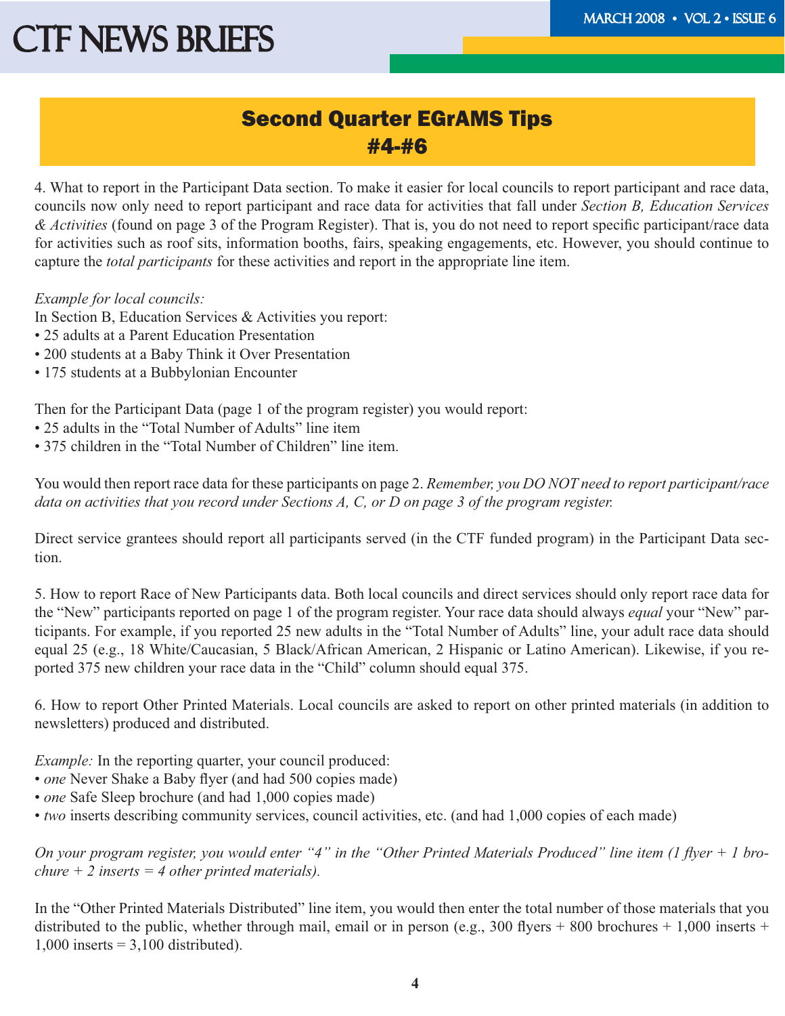#### Second Quarter EGrAMS Tips #4-#6

4. What to report in the Participant Data section. To make it easier for local councils to report participant and race data, councils now only need to report participant and race data for activities that fall under *Section B, Education Services* & Activities (found on page 3 of the Program Register). That is, you do not need to report specific participant/race data for activities such as roof sits, information booths, fairs, speaking engagements, etc. However, you should continue to capture the *total participants* for these activities and report in the appropriate line item.

#### *Example for local councils:*

In Section B, Education Services & Activities you report:

- 25 adults at a Parent Education Presentation
- 200 students at a Baby Think it Over Presentation
- 175 students at a Bubbylonian Encounter

Then for the Participant Data (page 1 of the program register) you would report:

- 25 adults in the "Total Number of Adults" line item
- 375 children in the "Total Number of Children" line item.

You would then report race data for these participants on page 2. *Remember, you DO NOT need to report participant/race data on activities that you record under Sections A, C, or D on page 3 of the program register.*

Direct service grantees should report all participants served (in the CTF funded program) in the Participant Data section.

5. How to report Race of New Participants data. Both local councils and direct services should only report race data for the "New" participants reported on page 1 of the program register. Your race data should always *equal* your "New" participants. For example, if you reported 25 new adults in the "Total Number of Adults" line, your adult race data should equal 25 (e.g., 18 White/Caucasian, 5 Black/African American, 2 Hispanic or Latino American). Likewise, if you reported 375 new children your race data in the "Child" column should equal 375.

6. How to report Other Printed Materials. Local councils are asked to report on other printed materials (in addition to newsletters) produced and distributed.

*Example:* In the reporting quarter, your council produced:

- *one* Never Shake a Baby flyer (and had 500 copies made)
- *one* Safe Sleep brochure (and had 1,000 copies made)
- • *two* inserts describing community services, council activities, etc. (and had 1,000 copies of each made)

On your program register, you would enter "4" in the "Other Printed Materials Produced" line item (1 flyer + 1 bro*chure + 2 inserts = 4 other printed materials).* 

In the "Other Printed Materials Distributed" line item, you would then enter the total number of those materials that you distributed to the public, whether through mail, email or in person (e.g., 300 flyers + 800 brochures + 1,000 inserts +  $1,000$  inserts = 3,100 distributed).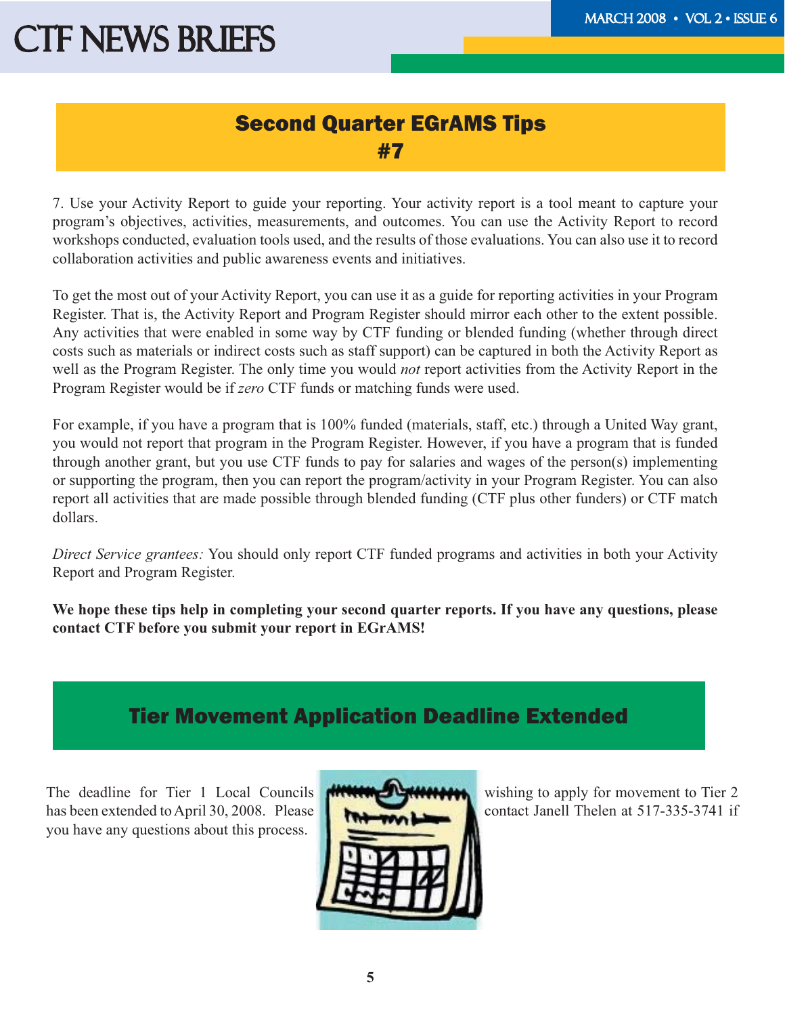### Second Quarter EGrAMS Tips #7

7. Use your Activity Report to guide your reporting. Your activity report is a tool meant to capture your program's objectives, activities, measurements, and outcomes. You can use the Activity Report to record workshops conducted, evaluation tools used, and the results of those evaluations. You can also use it to record collaboration activities and public awareness events and initiatives.

To get the most out of your Activity Report, you can use it as a guide for reporting activities in your Program Register. That is, the Activity Report and Program Register should mirror each other to the extent possible. Any activities that were enabled in some way by CTF funding or blended funding (whether through direct costs such as materials or indirect costs such as staff support) can be captured in both the Activity Report as well as the Program Register. The only time you would *not* report activities from the Activity Report in the Program Register would be if *zero* CTF funds or matching funds were used.

For example, if you have a program that is 100% funded (materials, staff, etc.) through a United Way grant, you would not report that program in the Program Register. However, if you have a program that is funded through another grant, but you use CTF funds to pay for salaries and wages of the person(s) implementing or supporting the program, then you can report the program/activity in your Program Register. You can also report all activities that are made possible through blended funding (CTF plus other funders) or CTF match dollars.

*Direct Service grantees:* You should only report CTF funded programs and activities in both your Activity Report and Program Register.

**We hope these tips help in completing your second quarter reports. If you have any questions, please contact CTF before you submit your report in EGrAMS!**

## Tier Movement Application Deadline Extended

The deadline for Tier 1 Local Councils  $\mathbf{M}$   $\mathbf{M}$  wishing to apply for movement to Tier 2 has been extended to April 30, 2008. Please contact Janell Thelen at 517-335-3741 if you have any questions about this process.

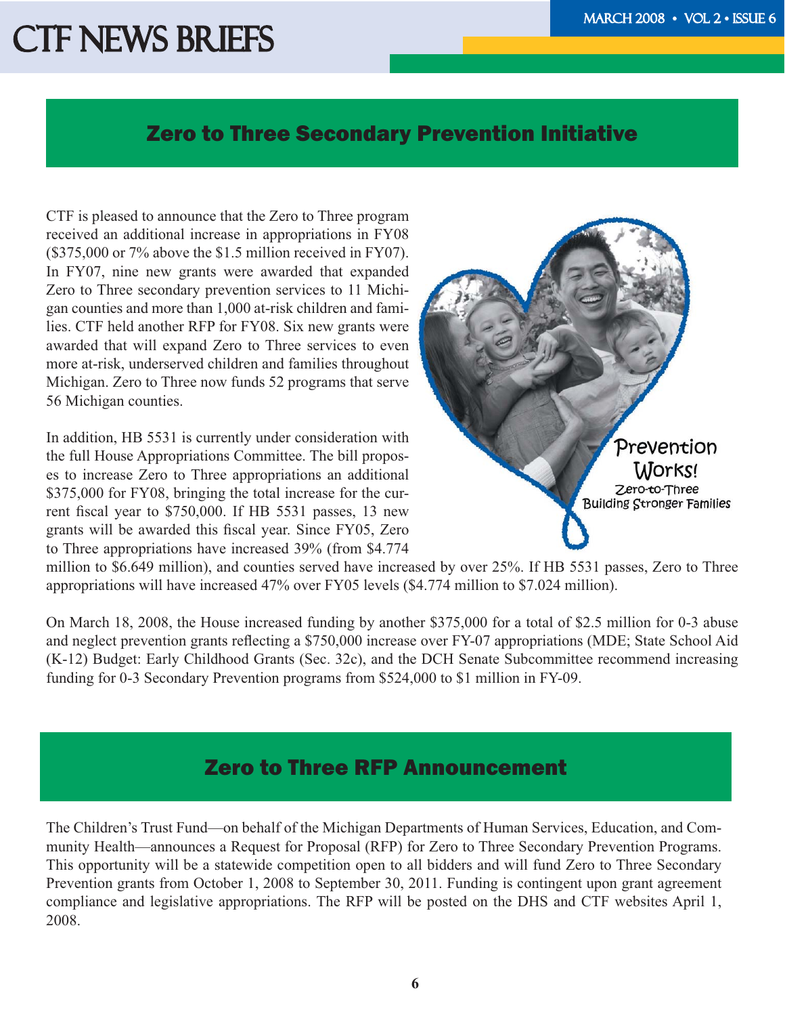#### Zero to Three Secondary Prevention Initiative

CTF is pleased to announce that the Zero to Three program received an additional increase in appropriations in FY08 (\$375,000 or 7% above the \$1.5 million received in FY07). In FY07, nine new grants were awarded that expanded Zero to Three secondary prevention services to 11 Michigan counties and more than 1,000 at-risk children and families. CTF held another RFP for FY08. Six new grants were awarded that will expand Zero to Three services to even more at-risk, underserved children and families throughout Michigan. Zero to Three now funds 52 programs that serve 56 Michigan counties.

In addition, HB 5531 is currently under consideration with the full House Appropriations Committee. The bill proposes to increase Zero to Three appropriations an additional \$375,000 for FY08, bringing the total increase for the current fiscal year to \$750,000. If HB 5531 passes, 13 new grants will be awarded this fiscal year. Since FY05, Zero to Three appropriations have increased 39% (from \$4.774



million to \$6.649 million), and counties served have increased by over 25%. If HB 5531 passes, Zero to Three appropriations will have increased 47% over FY05 levels (\$4.774 million to \$7.024 million).

On March 18, 2008, the House increased funding by another \$375,000 for a total of \$2.5 million for 0-3 abuse and neglect prevention grants reflecting a \$750,000 increase over FY-07 appropriations (MDE; State School Aid (K-12) Budget: Early Childhood Grants (Sec. 32c), and the DCH Senate Subcommittee recommend increasing funding for 0-3 Secondary Prevention programs from \$524,000 to \$1 million in FY-09.

### Zero to Three RFP Announcement

The Children's Trust Fund—on behalf of the Michigan Departments of Human Services, Education, and Community Health—announces a Request for Proposal (RFP) for Zero to Three Secondary Prevention Programs. This opportunity will be a statewide competition open to all bidders and will fund Zero to Three Secondary Prevention grants from October 1, 2008 to September 30, 2011. Funding is contingent upon grant agreement compliance and legislative appropriations. The RFP will be posted on the DHS and CTF websites April 1, 2008.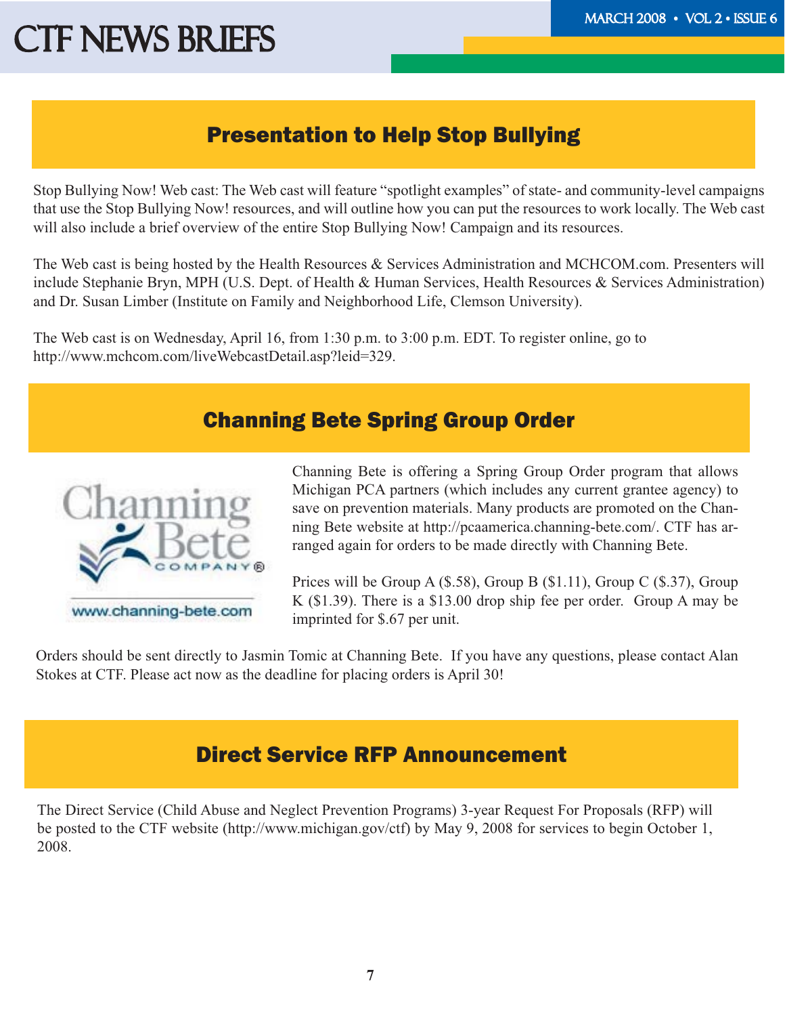### Presentation to Help Stop Bullying

Stop Bullying Now! Web cast: The Web cast will feature "spotlight examples" of state- and community-level campaigns that use the Stop Bullying Now! resources, and will outline how you can put the resources to work locally. The Web cast will also include a brief overview of the entire Stop Bullying Now! Campaign and its resources.

The Web cast is being hosted by the Health Resources & Services Administration and MCHCOM.com. Presenters will include Stephanie Bryn, MPH (U.S. Dept. of Health & Human Services, Health Resources & Services Administration) and Dr. Susan Limber (Institute on Family and Neighborhood Life, Clemson University).

The Web cast is on Wednesday, April 16, from 1:30 p.m. to 3:00 p.m. EDT. To register online, go to http://www.mchcom.com/liveWebcastDetail.asp?leid=329.

### Channing Bete Spring Group Order



Channing Bete is offering a Spring Group Order program that allows Michigan PCA partners (which includes any current grantee agency) to save on prevention materials. Many products are promoted on the Channing Bete website at http://pcaamerica.channing-bete.com/. CTF has arranged again for orders to be made directly with Channing Bete.

Prices will be Group A (\$.58), Group B (\$1.11), Group C (\$.37), Group K (\$1.39). There is a \$13.00 drop ship fee per order. Group A may be imprinted for \$.67 per unit.

Orders should be sent directly to Jasmin Tomic at Channing Bete. If you have any questions, please contact Alan Stokes at CTF. Please act now as the deadline for placing orders is April 30!

### Direct Service RFP Announcement

The Direct Service (Child Abuse and Neglect Prevention Programs) 3-year Request For Proposals (RFP) will be posted to the CTF website (http://www.michigan.gov/ctf) by May 9, 2008 for services to begin October 1, 2008.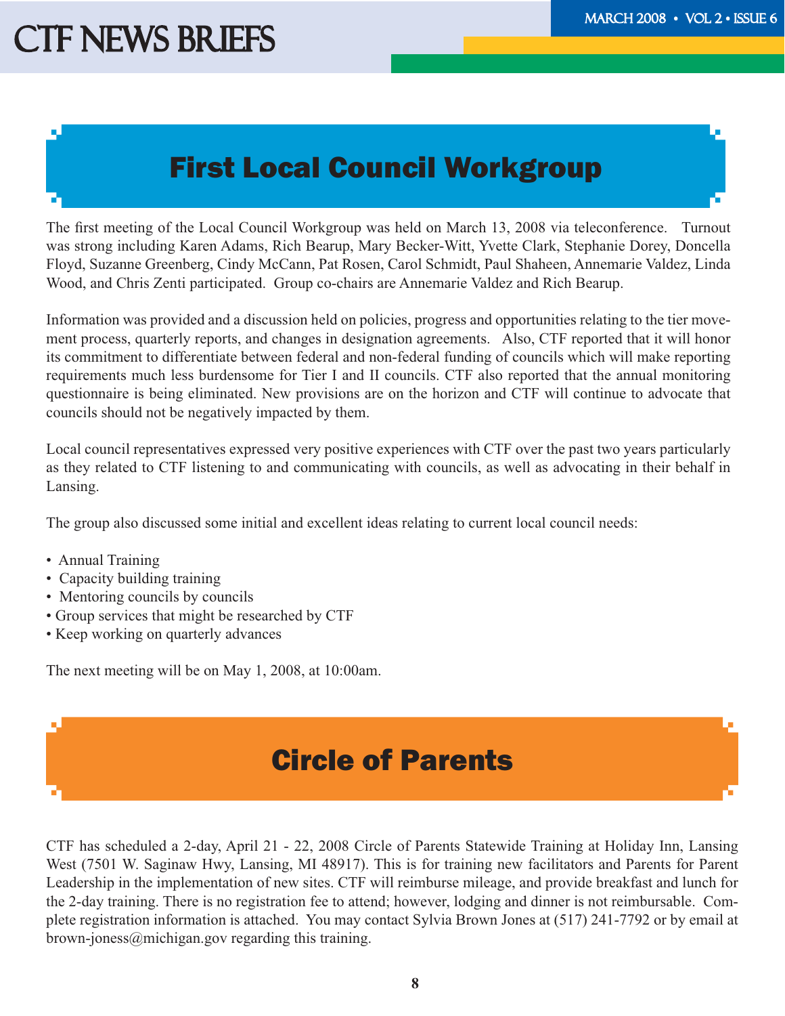## First Local Council Workgroup

The first meeting of the Local Council Workgroup was held on March 13, 2008 via teleconference. Turnout was strong including Karen Adams, Rich Bearup, Mary Becker-Witt, Yvette Clark, Stephanie Dorey, Doncella Floyd, Suzanne Greenberg, Cindy McCann, Pat Rosen, Carol Schmidt, Paul Shaheen, Annemarie Valdez, Linda Wood, and Chris Zenti participated. Group co-chairs are Annemarie Valdez and Rich Bearup.

Information was provided and a discussion held on policies, progress and opportunities relating to the tier movement process, quarterly reports, and changes in designation agreements. Also, CTF reported that it will honor its commitment to differentiate between federal and non-federal funding of councils which will make reporting requirements much less burdensome for Tier I and II councils. CTF also reported that the annual monitoring questionnaire is being eliminated. New provisions are on the horizon and CTF will continue to advocate that councils should not be negatively impacted by them.

Local council representatives expressed very positive experiences with CTF over the past two years particularly as they related to CTF listening to and communicating with councils, as well as advocating in their behalf in Lansing.

The group also discussed some initial and excellent ideas relating to current local council needs:

- Annual Training
- Capacity building training
- Mentoring councils by councils
- Group services that might be researched by CTF
- Keep working on quarterly advances

The next meeting will be on May 1, 2008, at 10:00am.

## Circle of Parents

CTF has scheduled a 2-day, April 21 - 22, 2008 Circle of Parents Statewide Training at Holiday Inn, Lansing West (7501 W. Saginaw Hwy, Lansing, MI 48917). This is for training new facilitators and Parents for Parent Leadership in the implementation of new sites. CTF will reimburse mileage, and provide breakfast and lunch for the 2-day training. There is no registration fee to attend; however, lodging and dinner is not reimbursable. Complete registration information is attached. You may contact Sylvia Brown Jones at (517) 241-7792 or by email at brown-joness@michigan.gov regarding this training.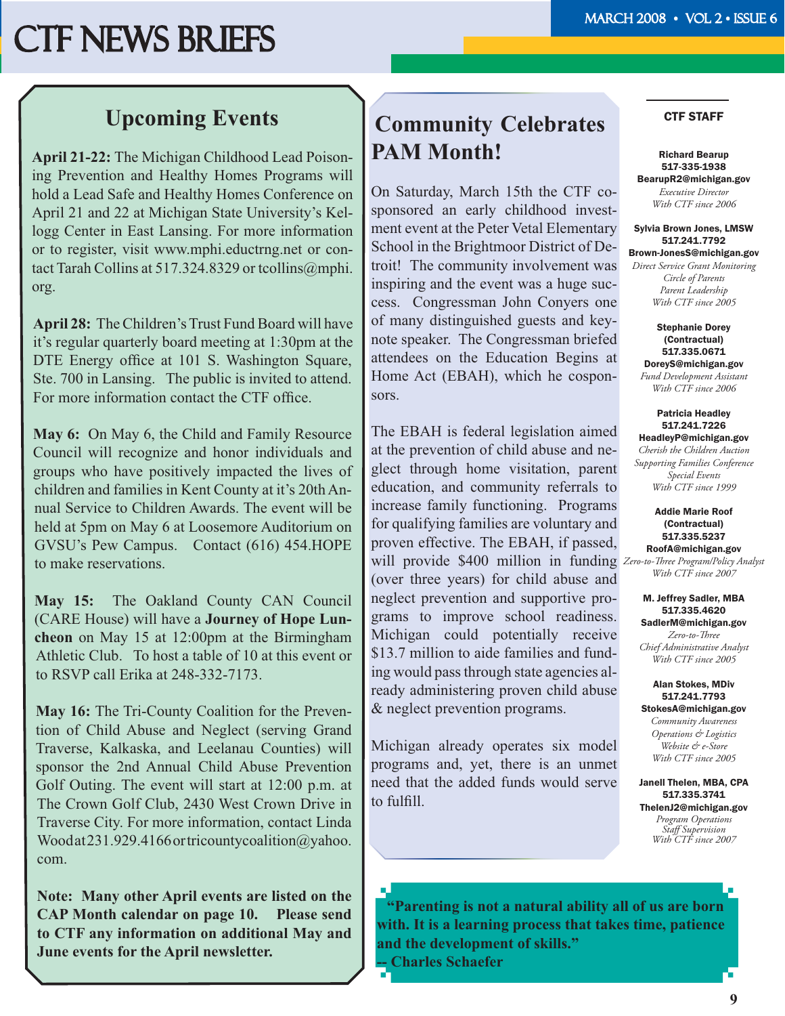### **Upcoming Events**

**April 21-22:** The Michigan Childhood Lead Poisoning Prevention and Healthy Homes Programs will hold a Lead Safe and Healthy Homes Conference on April 21 and 22 at Michigan State University's Kellogg Center in East Lansing. For more information or to register, visit www.mphi.eductrng.net or contact Tarah Collins at 517.324.8329 or tcollins@mphi. org.

**April 28:** The Children's Trust Fund Board will have it's regular quarterly board meeting at 1:30pm at the DTE Energy office at 101 S. Washington Square, Ste. 700 in Lansing. The public is invited to attend. For more information contact the CTF office.

**May 6:** On May 6, the Child and Family Resource Council will recognize and honor individuals and groups who have positively impacted the lives of children and families in Kent County at it's 20th Annual Service to Children Awards. The event will be held at 5pm on May 6 at Loosemore Auditorium on GVSU's Pew Campus. Contact (616) 454.HOPE to make reservations.

**May 15:** The Oakland County CAN Council (CARE House) will have a **Journey of Hope Luncheon** on May 15 at 12:00pm at the Birmingham Athletic Club. To host a table of 10 at this event or to RSVP call Erika at 248-332-7173.

**May 16:** The Tri-County Coalition for the Prevention of Child Abuse and Neglect (serving Grand Traverse, Kalkaska, and Leelanau Counties) will sponsor the 2nd Annual Child Abuse Prevention Golf Outing. The event will start at 12:00 p.m. at The Crown Golf Club, 2430 West Crown Drive in Traverse City. For more information, contact Linda Wood at 231.929.4166 or tricountycoalition@yahoo. com.

**Note: Many other April events are listed on the CAP Month calendar on page 10. Please send to CTF any information on additional May and June events for the April newsletter.** 

### **Community Celebrates PAM Month!**

On Saturday, March 15th the CTF cosponsored an early childhood investment event at the Peter Vetal Elementary School in the Brightmoor District of Detroit! The community involvement was inspiring and the event was a huge success. Congressman John Conyers one of many distinguished guests and keynote speaker. The Congressman briefed attendees on the Education Begins at Home Act (EBAH), which he cosponsors.

will provide \$400 million in funding Zero-to-Three Program/Policy Analyst The EBAH is federal legislation aimed at the prevention of child abuse and neglect through home visitation, parent education, and community referrals to increase family functioning. Programs for qualifying families are voluntary and proven effective. The EBAH, if passed, (over three years) for child abuse and neglect prevention and supportive programs to improve school readiness. Michigan could potentially receive \$13.7 million to aide families and funding would pass through state agencies already administering proven child abuse & neglect prevention programs.

Michigan already operates six model programs and, yet, there is an unmet need that the added funds would serve to fulfill.

#### CTF STAFF

Richard Bearup 517-335-1938 BearupR2@michigan.gov *Executive Director With CTF since 2006*

Sylvia Brown Jones, LMSW 517.241.7792 Brown-JonesS@michigan.gov

*Direct Service Grant Monitoring Circle of Parents Parent Leadership With CTF since 2005*

Stephanie Dorey (Contractual) 517.335.0671 DoreyS@michigan.gov *Fund Development Assistant With CTF since 2006*

Patricia Headley 517.241.7226 HeadleyP@michigan.gov *Cherish the Children Auction Supporting Families Conference Special Events With CTF since 1999*

Addie Marie Roof (Contractual) 517.335.5237 RoofA@michigan.gov

*With CTF since 2007*

#### M. Jeffrey Sadler, MBA 517.335.4620 SadlerM@michigan.gov

*Zero-to-Th ree Chief Administrative Analyst With CTF since 2005*

Alan Stokes, MDiv 517.241.7793 StokesA@michigan.gov *Community Awareness Operations & Logistics Website & e-Store With CTF since 2005*

Janell Thelen, MBA, CPA 517.335.3741 ThelenJ2@michigan.gov *Program Operations Staff Supervision With CTF since 2007*

a, **"Parenting is not a natural ability all of us are born with. It is a learning process that takes time, patience and the development of skills." -- Charles Schaefer**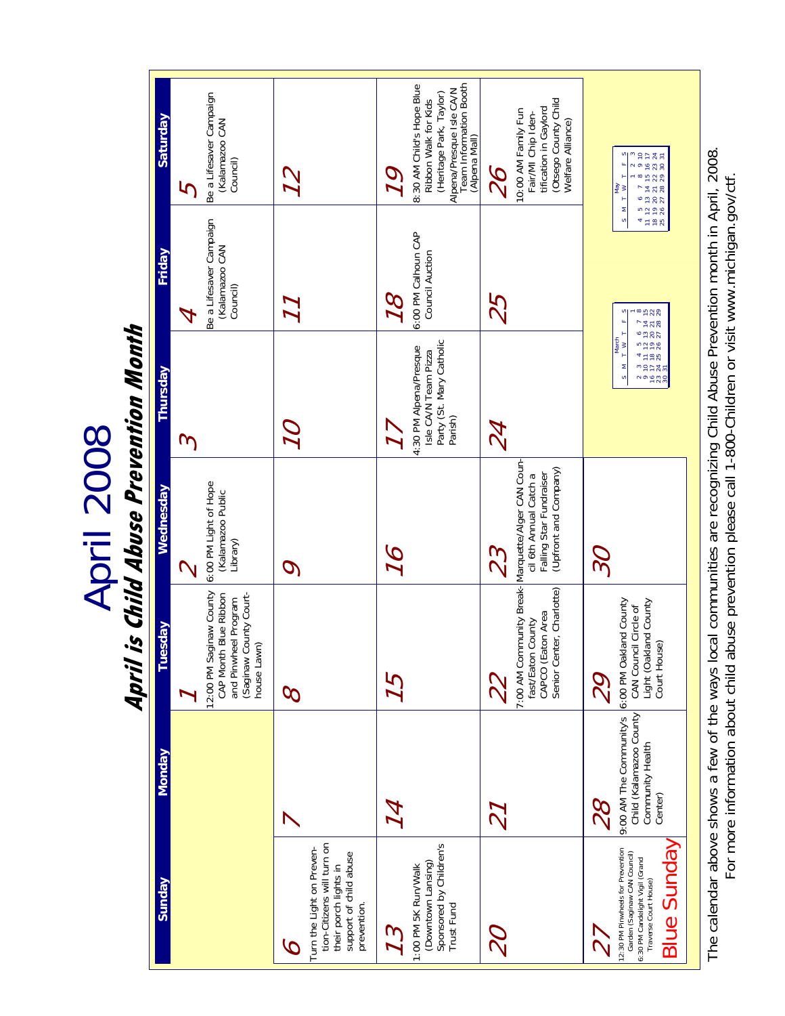April 2008<br>April is Child Abuse Prevention Month **April is Child Abuse Prevention Month**

| Saturday      | 5        | Be a Lifesaver Campaign<br>(Kalamazoo CAN<br>Council)                                                             |                                                                                                                                | 79  | Alpena/Presque Isle CA/N<br>Team Information Booth<br>(Alpena Mall)<br>8:30 AM Child's Hope Blue<br>(Heritage Park, Taylor)<br>Ribbon Walk for Kids | 82           | Otsego County Child<br>tification in Gaylord<br>10:00 AM Family Fun<br>Fair/MI Chip Iden-<br>Welfare Alliance)            |                      | 4 5 6 7 8 9 10<br>1 12 13 14 15 16 17<br>8 19 20 21 22 23 24<br>5 26 27 28 29 30 31<br>N O<br>δ<br>≧<br>H                                           |
|---------------|----------|-------------------------------------------------------------------------------------------------------------------|--------------------------------------------------------------------------------------------------------------------------------|-----|-----------------------------------------------------------------------------------------------------------------------------------------------------|--------------|---------------------------------------------------------------------------------------------------------------------------|----------------------|-----------------------------------------------------------------------------------------------------------------------------------------------------|
| Friday        |          | Be a Lifesaver Campaign<br>(Kalamazoo CAN<br>Council)                                                             |                                                                                                                                | 78  | 6:00 PM Calhoun CAP<br>Council Auction                                                                                                              | 25           |                                                                                                                           |                      | $M_{\odot}$ S<br>$\frac{8}{25}$<br>Ξ<br>1 5 6 7 8<br>12 13 14 15<br>19 20 21 22<br>26 27 28 29                                                      |
| Thursday      | $\omega$ |                                                                                                                   |                                                                                                                                |     | Party (St. Mary Catholic<br>4:30 PM Alpena/Presque<br>Isle CA/N Team Pizza<br>Parish)                                                               | $Z\!\!\!\!A$ |                                                                                                                           |                      | $\begin{array}{c}\n\hline\n\text{March} \\ \hline\n\text{I} \times \text{I}\n\end{array}$<br>$4\pm\overline{5}R$<br>s<br>nepas<br>nepas<br>S,       |
| Wednesday     |          | 6:00 PM Light of Hope<br>(Kalamazoo Public<br>Library)                                                            | $\bm{C}$                                                                                                                       |     |                                                                                                                                                     |              | (Upfront and Company)<br>Falling Star Fundraiser<br>cil 6th Annual Catch a                                                | $\widetilde{\gamma}$ |                                                                                                                                                     |
| Tuesday       |          | 12:00 PM Saginaw County<br>CAP Month Blue Ribbon<br>(Saginaw County Court-<br>and Pinwheel Program<br>house Lawn) | $\varphi$                                                                                                                      | 75  |                                                                                                                                                     |              | 7:00 AM Community Break- Marquette/Alger CAN Coun-<br>Senior Center, Charlotte)<br>CAPCO (Eaton Area<br>fast/Eaton County | 29                   | 6:00 PM Oakland County<br>CAN Council Circle of<br>Light (Oakland County<br>Court House)                                                            |
| <b>Monday</b> |          |                                                                                                                   |                                                                                                                                | 74  |                                                                                                                                                     | 77           |                                                                                                                           | $\%$                 | 9:00 AM The Community's<br>Child (Kalamazoo County<br>Community Health<br>Center)                                                                   |
| Sunday        |          |                                                                                                                   | tion-Citizens will turn on<br>Turn the Light on Preven-<br>support of child abuse<br>their porch lights in<br>prevention.<br>C | 7.3 | Sponsored by Children's<br>(Downtown Lansing)<br>1:00 PM 5K Run/Walk<br>Trust Fund                                                                  |              |                                                                                                                           |                      | <b>Blue Sunday</b><br>12:30 PM Pinwheels for Prevention<br>Garden (Saginaw CAN Council)<br>6:30 PM Candelight Vigil (Grand<br>Traverse Court House) |

The calendar above shows a few of the ways local communities are recognizing Child Abuse Prevention month in April, 2008.<br>For more information about child abuse prevention please call 1-800-Children or visit www.michigan.g The calendar above shows a few of the ways local communities are recognizing Child Abuse Prevention month in April, 2008. For more information about child abuse prevention please call 1-800-Children or visit www.michigan.gov/ctf.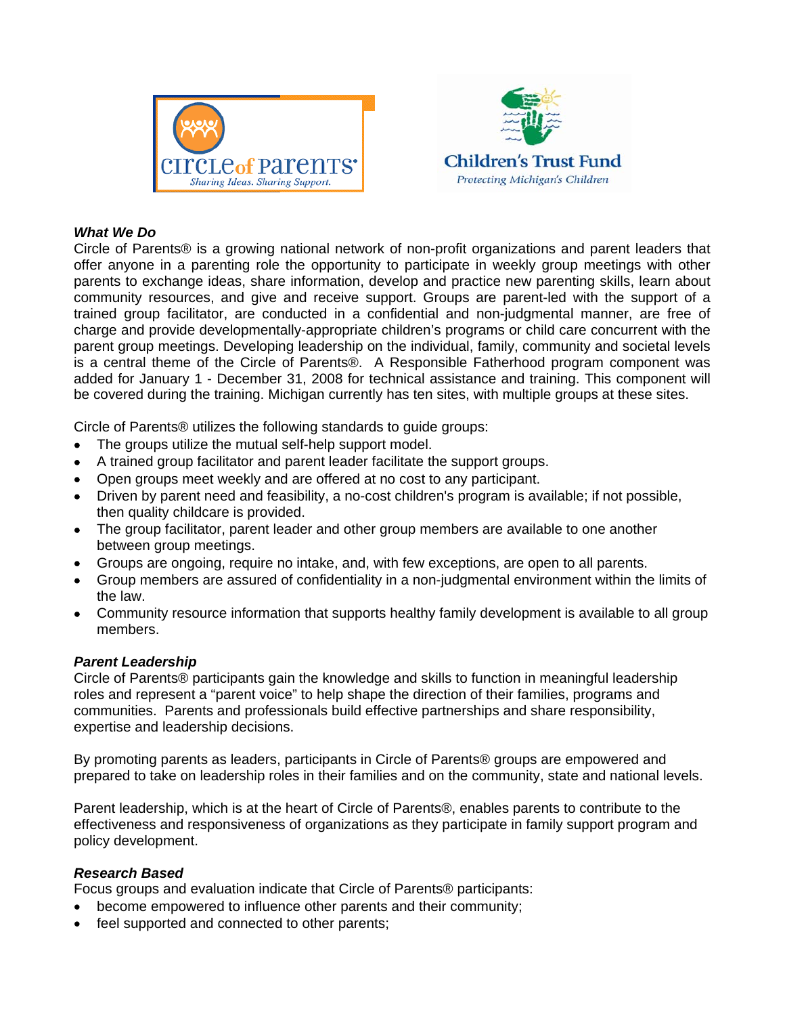



#### *What We Do*

Circle of Parents® is a growing national network of non-profit organizations and parent leaders that offer anyone in a parenting role the opportunity to participate in weekly group meetings with other parents to exchange ideas, share information, develop and practice new parenting skills, learn about community resources, and give and receive support. Groups are parent-led with the support of a trained group facilitator, are conducted in a confidential and non-judgmental manner, are free of charge and provide developmentally-appropriate children's programs or child care concurrent with the parent group meetings. Developing leadership on the individual, family, community and societal levels is a central theme of the Circle of Parents®. A Responsible Fatherhood program component was added for January 1 - December 31, 2008 for technical assistance and training. This component will be covered during the training. Michigan currently has ten sites, with multiple groups at these sites.

Circle of Parents® utilizes the following standards to guide groups:

- The groups utilize the mutual self-help support model.
- A trained group facilitator and parent leader facilitate the support groups.
- Open groups meet weekly and are offered at no cost to any participant.
- Driven by parent need and feasibility, a no-cost children's program is available; if not possible, then quality childcare is provided.
- The group facilitator, parent leader and other group members are available to one another between group meetings.
- Groups are ongoing, require no intake, and, with few exceptions, are open to all parents.
- Group members are assured of confidentiality in a non-judgmental environment within the limits of the law.
- Community resource information that supports healthy family development is available to all group members.

#### *Parent Leadership*

Circle of Parents® participants gain the knowledge and skills to function in meaningful leadership roles and represent a "parent voice" to help shape the direction of their families, programs and communities. Parents and professionals build effective partnerships and share responsibility, expertise and leadership decisions.

By promoting parents as leaders, participants in Circle of Parents® groups are empowered and prepared to take on leadership roles in their families and on the community, state and national levels.

Parent leadership, which is at the heart of Circle of Parents®, enables parents to contribute to the effectiveness and responsiveness of organizations as they participate in family support program and policy development.

#### *Research Based*

Focus groups and evaluation indicate that Circle of Parents® participants:

- become empowered to influence other parents and their community;
- feel supported and connected to other parents;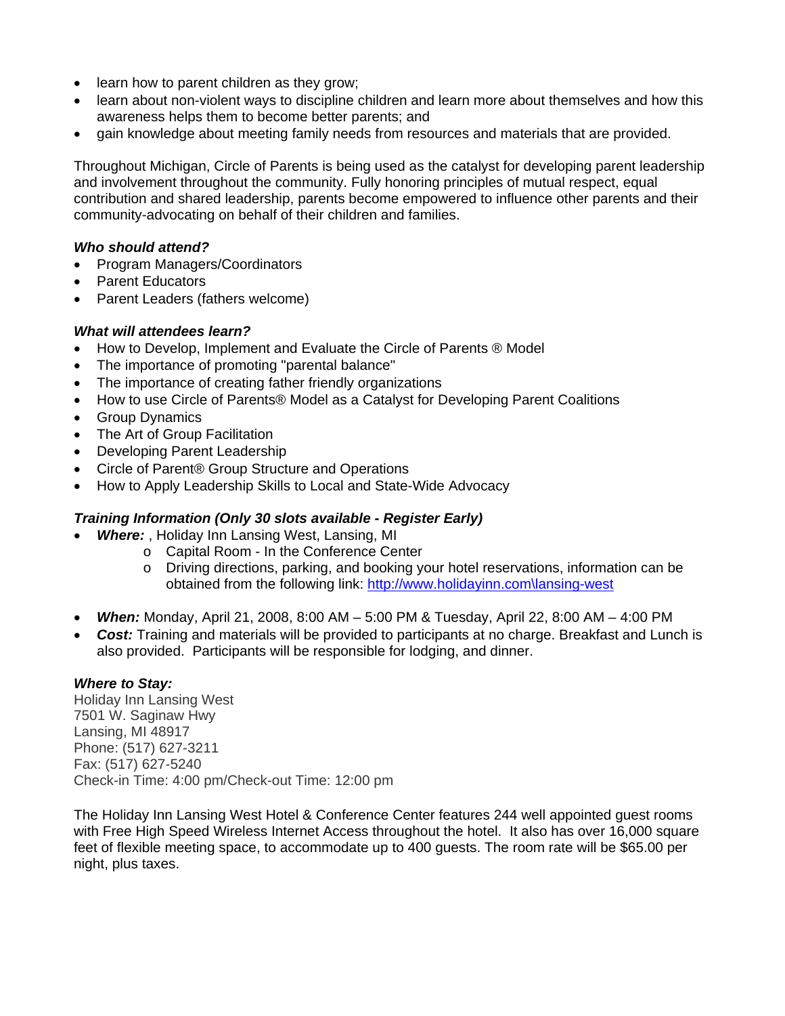- learn how to parent children as they grow;
- learn about non-violent ways to discipline children and learn more about themselves and how this awareness helps them to become better parents; and
- gain knowledge about meeting family needs from resources and materials that are provided.

Throughout Michigan, Circle of Parents is being used as the catalyst for developing parent leadership and involvement throughout the community. Fully honoring principles of mutual respect, equal contribution and shared leadership, parents become empowered to influence other parents and their community-advocating on behalf of their children and families.

#### *Who should attend?*

- Program Managers/Coordinators
- Parent Educators
- Parent Leaders (fathers welcome)

#### *What will attendees learn?*

- How to Develop, Implement and Evaluate the Circle of Parents ® Model
- The importance of promoting "parental balance"
- The importance of creating father friendly organizations
- How to use Circle of Parents® Model as a Catalyst for Developing Parent Coalitions
- Group Dynamics
- The Art of Group Facilitation
- Developing Parent Leadership
- Circle of Parent® Group Structure and Operations
- How to Apply Leadership Skills to Local and State-Wide Advocacy

#### *Training Information (Only 30 slots available - Register Early)*

- *Where:* , Holiday Inn Lansing West, Lansing, MI
	- o Capital Room In the Conference Center
	- o Driving directions, parking, and booking your hotel reservations, information can be obtained from the following link: http://www.holidayinn.com\lansing-west
- *When:* Monday, April 21, 2008, 8:00 AM 5:00 PM & Tuesday, April 22, 8:00 AM 4:00 PM
- *Cost:* Training and materials will be provided to participants at no charge. Breakfast and Lunch is also provided. Participants will be responsible for lodging, and dinner.

#### *Where to Stay:*

Holiday Inn Lansing West 7501 W. Saginaw Hwy Lansing, MI 48917 Phone: (517) 627-3211 Fax: (517) 627-5240 Check-in Time: 4:00 pm/Check-out Time: 12:00 pm

The Holiday Inn Lansing West Hotel & Conference Center features 244 well appointed guest rooms with Free High Speed Wireless Internet Access throughout the hotel. It also has over 16,000 square feet of flexible meeting space, to accommodate up to 400 guests. The room rate will be \$65.00 per night, plus taxes.